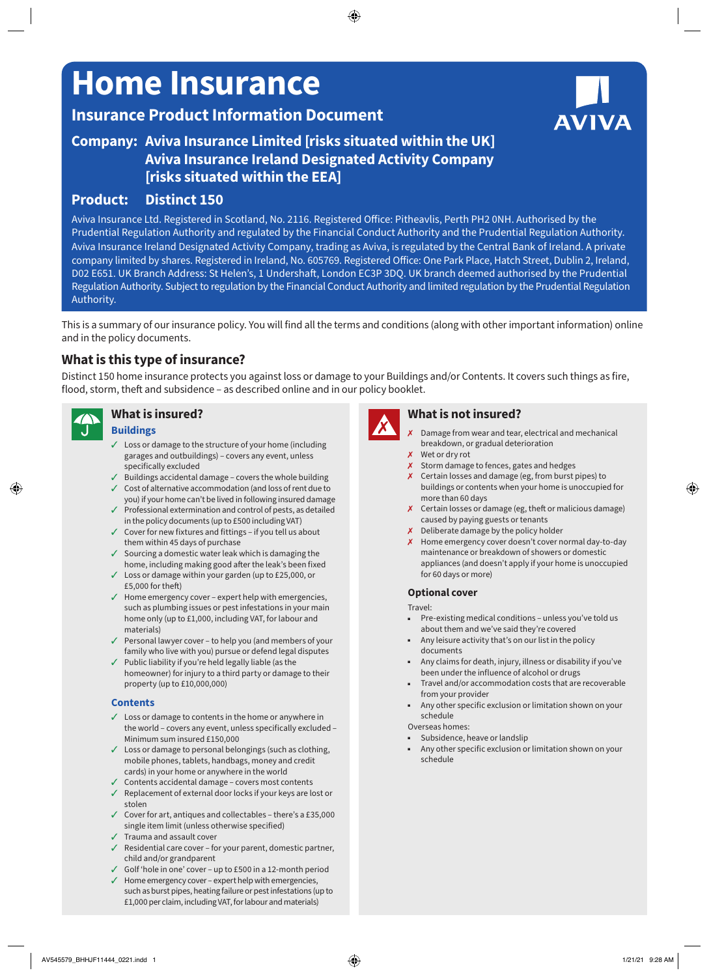# **Home Insurance**

# **Insurance Product Information Document**

# **Company: Aviva Insurance Limited [risks situated within the UK] Aviva Insurance Ireland Designated Activity Company [risks situated within the EEA]**

# **Product: Distinct 150**

Aviva Insurance Ltd. Registered in Scotland, No. 2116. Registered Office: Pitheavlis, Perth PH2 0NH. Authorised by the Prudential Regulation Authority and regulated by the Financial Conduct Authority and the Prudential Regulation Authority. Aviva Insurance Ireland Designated Activity Company, trading as Aviva, is regulated by the Central Bank of Ireland. A private company limited by shares. Registered in Ireland, No. 605769. Registered Office: One Park Place, Hatch Street, Dublin 2, Ireland, D02 E651. UK Branch Address: St Helen's, 1 Undershaft, London EC3P 3DQ. UK branch deemed authorised by the Prudential Regulation Authority. Subject to regulation by the Financial Conduct Authority and limited regulation by the Prudential Regulation Authority.

This is a summary of our insurance policy. You will find all the terms and conditions (along with other important information) online and in the policy documents.

# **What is this type of insurance?**

Distinct 150 home insurance protects you against loss or damage to your Buildings and/or Contents. It covers such things as fire, flood, storm, theft and subsidence – as described online and in our policy booklet.



# **What is insured?**

#### **Buildings**

- $\checkmark$  Loss or damage to the structure of your home (including garages and outbuildings) – covers any event, unless specifically excluded
- $\checkmark$  Buildings accidental damage covers the whole building
- $\checkmark$  Cost of alternative accommodation (and loss of rent due to you) if your home can't be lived in following insured damage  $\checkmark$  Professional extermination and control of pests, as detailed
- in the policy documents (up to £500 including VAT)
- $\checkmark$  Cover for new fixtures and fittings if you tell us about them within 45 days of purchase
- $\checkmark$  Sourcing a domestic water leak which is damaging the home, including making good after the leak's been fixed
- $\checkmark$  Loss or damage within your garden (up to £25,000, or £5,000 for theft)
- $J$  Home emergency cover expert help with emergencies, such as plumbing issues or pest infestations in your main home only (up to £1,000, including VAT, for labour and materials)
- $\checkmark$  Personal lawyer cover to help you (and members of your family who live with you) pursue or defend legal disputes
- $\checkmark$  Public liability if you're held legally liable (as the homeowner) for injury to a third party or damage to their property (up to £10,000,000)

#### **Contents**

- $\angle$  Loss or damage to contents in the home or anywhere in the world – covers any event, unless specifically excluded – Minimum sum insured £150,000
- $\checkmark$  Loss or damage to personal belongings (such as clothing, mobile phones, tablets, handbags, money and credit cards) in your home or anywhere in the world
- $\checkmark$  Contents accidental damage covers most contents  $\checkmark$  Replacement of external door locks if your keys are lost or
- stolen
- $\checkmark$  Cover for art, antiques and collectables there's a £35,000 single item limit (unless otherwise specified)
- $\sqrt{ }$  Trauma and assault cover
- $\sqrt{ }$  Residential care cover for your parent, domestic partner, child and/or grandparent
- $\checkmark$  Golf 'hole in one' cover up to £500 in a 12-month period
- $\checkmark$  Home emergency cover expert help with emergencies, such as burst pipes, heating failure or pest infestations (up to £1,000 per claim, including VAT, for labour and materials)



# **What is not insured?**

- Damage from wear and tear, electrical and mechanical breakdown, or gradual deterioration
- $x$  Wet or dry rot
- $x$  Storm damage to fences, gates and hedges
- $\boldsymbol{\chi}$  Certain losses and damage (eg, from burst pipes) to buildings or contents when your home is unoccupied for more than 60 days
- $x$  Certain losses or damage (eg, theft or malicious damage) caused by paying guests or tenants
- 7 Deliberate damage by the policy holder
- X Home emergency cover doesn't cover normal day-to-day maintenance or breakdown of showers or domestic appliances (and doesn't apply if your home is unoccupied for 60 days or more)

#### **Optional cover**

Travel:

- Pre-existing medical conditions unless you've told us about them and we've said they're covered
- Any leisure activity that's on our list in the policy documents
- Any claims for death, injury, illness or disability if you've been under the influence of alcohol or drugs
- Travel and/or accommodation costs that are recoverable from your provider
- Any other specific exclusion or limitation shown on your schedule

Overseas homes:

- Subsidence, heave or landslip
- Any other specific exclusion or limitation shown on your schedule